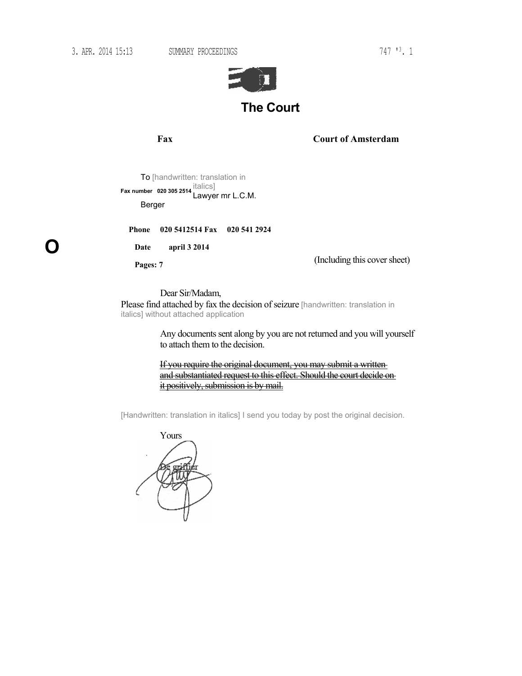**O**

3. APR. 2014 15:13 SUMMARY PROCEEDINGS 747 '3. 1



**Fax Court of Amsterdam**

To [handwritten: translation in italics] Lawyer mr L.C.M. **Fax number 020 305 2514** Berger

**Phone 020 5412514 Fax 020 541 2924**

**Date april 3 2014** 

**Pages: 7**

(Including this cover sheet)

Dear Sir/Madam,

Please find attached by fax the decision of seizure [handwritten: translation in italics] without attached application

> Any documents sent along by you are not returned and you will yourself to attach them to the decision.

If you require the original document, you may submit a writtenand substantiated request to this effect. Should the court decide on it positively, submission is by mail.

[Handwritten: translation in italics] I send you today by post the original decision.

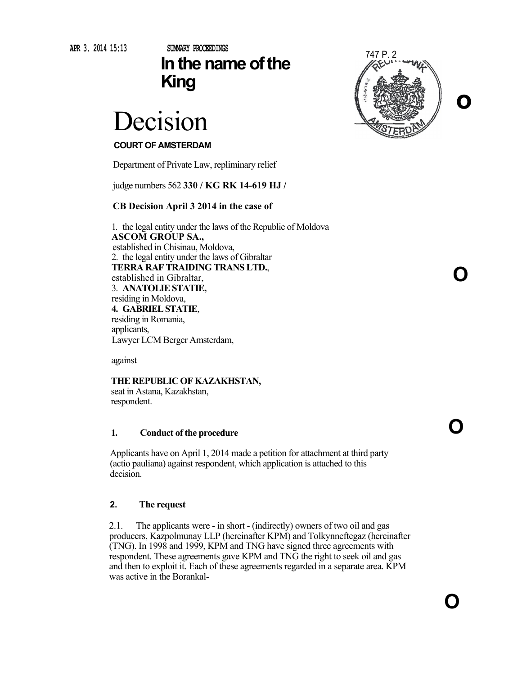**APR 3. 2014 15:13**

## **SUMMARY PROCEEDINGS In the name of the King**

# Decision

### **COURT OF AMSTERDAM**

Department of Private Law, repliminary relief

judge numbers 562 **330 / KG RK 14-619 HJ /** 

#### **CB Decision April 3 2014 in the case of**

1. the legal entity under the laws of the Republic of Moldova **ASCOM GROUP SA.,** established in Chisinau, Moldova, 2. the legal entity under the laws of Gibraltar **TERRA RAF TRAIDING TRANS LTD.**, established in Gibraltar, 3. **ANATOLIE STATIE,**  residing in Moldova, **4. GABRIEL STATIE**, residing in Romania, applicants, Lawyer LCM Berger Amsterdam,

against

### **THE REPUBLIC OF KAZAKHSTAN,**

seat in Astana, Kazakhstan, respondent.

#### **1. Conduct of the procedure**

Applicants have on April 1, 2014 made a petition for attachment at third party (actio pauliana) against respondent, which application is attached to this decision.

#### **2. The request**

2.1. The applicants were - in short - (indirectly) owners of two oil and gas producers, Kazpolmunay LLP (hereinafter KPM) and Tolkynneftegaz (hereinafter (TNG). In 1998 and 1999, KPM and TNG have signed three agreements with respondent. These agreements gave KPM and TNG the right to seek oil and gas and then to exploit it. Each of these agreements regarded in a separate area. KPM was active in the Borankal-



**O**

**O**

**O**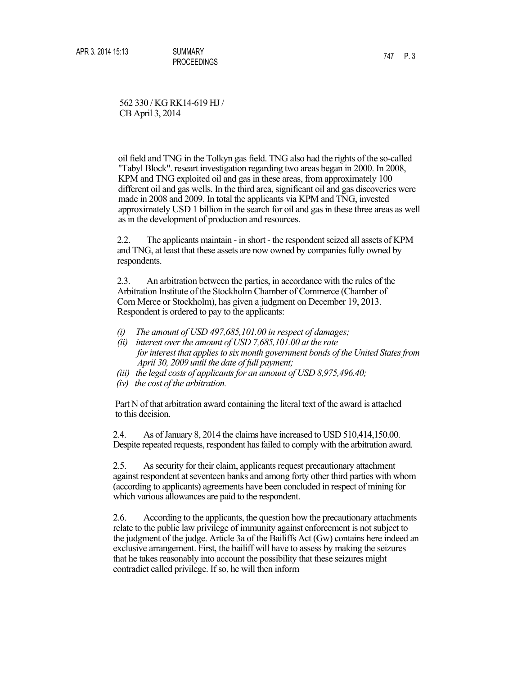562 330 / KG RK14-619 HJ / CB April 3, 2014

oil field and TNG in the Tolkyn gas field. TNG also had the rights of the so-called "Tabyl Block". researt investigation regarding two areas began in 2000. In 2008, KPM and TNG exploited oil and gas in these areas, from approximately 100 different oil and gas wells. In the third area, significant oil and gas discoveries were made in 2008 and 2009. In total the applicants via KPM and TNG, invested approximately USD 1 billion in the search for oil and gas in these three areas as well as in the development of production and resources.

2.2. The applicants maintain - in short - the respondent seized all assets of KPM and TNG, at least that these assets are now owned by companies fully owned by respondents.

2.3. An arbitration between the parties, in accordance with the rules of the Arbitration Institute of the Stockholm Chamber of Commerce (Chamber of Corn Merce or Stockholm), has given a judgment on December 19, 2013. Respondent is ordered to pay to the applicants:

- *(i) The amount of USD 497,685,101.00 in respect of damages;*
- *(ii) interest over the amount of USD 7,685,101.00 at the rate for interest that applies to six month government bonds of the United States from April 30, 2009 until the date of full payment;*
- *(iii) the legal costs of applicants for an amount of USD 8,975,496.40;*
- *(iv) the cost of the arbitration.*

Part N of that arbitration award containing the literal text of the award is attached to this decision.

2.4. As of January 8, 2014 the claims have increased to USD 510,414,150.00. Despite repeated requests, respondent has failed to comply with the arbitration award.

2.5. As security for their claim, applicants request precautionary attachment against respondent at seventeen banks and among forty other third parties with whom (according to applicants) agreements have been concluded in respect of mining for which various allowances are paid to the respondent.

2.6. According to the applicants, the question how the precautionary attachments relate to the public law privilege of immunity against enforcement is not subject to the judgment of the judge. Article 3a of the Bailiffs Act (Gw) contains here indeed an exclusive arrangement. First, the bailiff will have to assess by making the seizures that he takes reasonably into account the possibility that these seizures might contradict called privilege. If so, he will then inform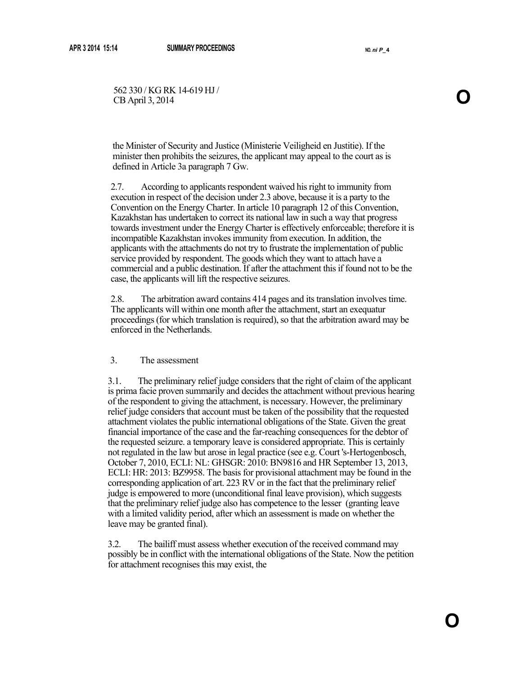562 330 / KG RK 14-619 HJ / S62 330 / KG RK 14-619 HJ / **O**<br>CB April 3, 2014

the Minister of Security and Justice (Ministerie Veiligheid en Justitie). If the minister then prohibits the seizures, the applicant may appeal to the court as is defined in Article 3a paragraph 7 Gw.

2.7. According to applicants respondent waived his right to immunity from execution in respect of the decision under 2.3 above, because it is a party to the Convention on the Energy Charter. In article 10 paragraph 12 of this Convention, Kazakhstan has undertaken to correct its national law in such a way that progress towards investment under the Energy Charter is effectively enforceable; therefore it is incompatible Kazakhstan invokes immunity from execution. In addition, the applicants with the attachments do not try to frustrate the implementation of public service provided by respondent. The goods which they want to attach have a commercial and a public destination. If after the attachment this if found not to be the case, the applicants will lift the respective seizures.

2.8. The arbitration award contains 414 pages and its translation involves time. The applicants will within one month after the attachment, start an exequatur proceedings (for which translation is required), so that the arbitration award may be enforced in the Netherlands.

#### 3. The assessment

3.1. The preliminary relief judge considers that the right of claim of the applicant is prima facie proven summarily and decides the attachment without previous hearing of the respondent to giving the attachment, is necessary. However, the preliminary relief judge considers that account must be taken of the possibility that the requested attachment violates the public international obligations of the State. Given the great financial importance of the case and the far-reaching consequences for the debtor of the requested seizure. a temporary leave is considered appropriate. This is certainly not regulated in the law but arose in legal practice (see e.g. Court 's-Hertogenbosch, October 7, 2010, ECLI: NL: GHSGR: 2010: BN9816 and HR September 13, 2013, ECLI: HR: 2013: BZ9958. The basis for provisional attachment may be found in the corresponding application of art. 223 RV or in the fact that the preliminary relief judge is empowered to more (unconditional final leave provision), which suggests that the preliminary relief judge also has competence to the lesser (granting leave with a limited validity period, after which an assessment is made on whether the leave may be granted final).

3.2. The bailiff must assess whether execution of the received command may possibly be in conflict with the international obligations of the State. Now the petition for attachment recognises this may exist, the

**O**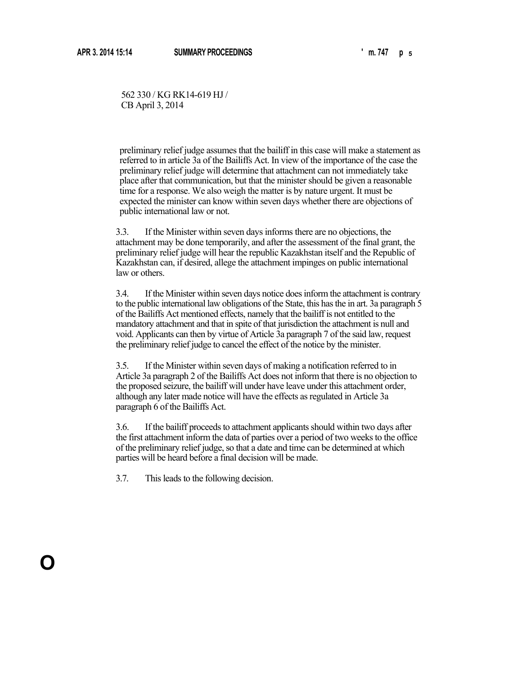**O**

562 330 / KG RK14-619 HJ / CB April 3, 2014

preliminary relief judge assumes that the bailiff in this case will make a statement as referred to in article 3a of the Bailiffs Act. In view of the importance of the case the preliminary relief judge will determine that attachment can not immediately take place after that communication, but that the minister should be given a reasonable time for a response. We also weigh the matter is by nature urgent. It must be expected the minister can know within seven days whether there are objections of public international law or not.

3.3. If the Minister within seven days informs there are no objections, the attachment may be done temporarily, and after the assessment of the final grant, the preliminary relief judge will hear the republic Kazakhstan itself and the Republic of Kazakhstan can, if desired, allege the attachment impinges on public international law or others.

3.4. If the Minister within seven days notice does inform the attachment is contrary to the public international law obligations of the State, this has the in art. 3a paragraph 5 of the Bailiffs Act mentioned effects, namely that the bailiff is not entitled to the mandatory attachment and that in spite of that jurisdiction the attachment is null and void. Applicants can then by virtue of Article 3a paragraph 7 of the said law, request the preliminary relief judge to cancel the effect of the notice by the minister.

3.5. If the Minister within seven days of making a notification referred to in Article 3a paragraph 2 of the Bailiffs Act does not inform that there is no objection to the proposed seizure, the bailiff will under have leave under this attachment order, although any later made notice will have the effects as regulated in Article 3a paragraph 6 of the Bailiffs Act.

3.6. If the bailiff proceeds to attachment applicants should within two days after the first attachment inform the data of parties over a period of two weeks to the office of the preliminary relief judge, so that a date and time can be determined at which parties will be heard before a final decision will be made.

3.7. This leads to the following decision.